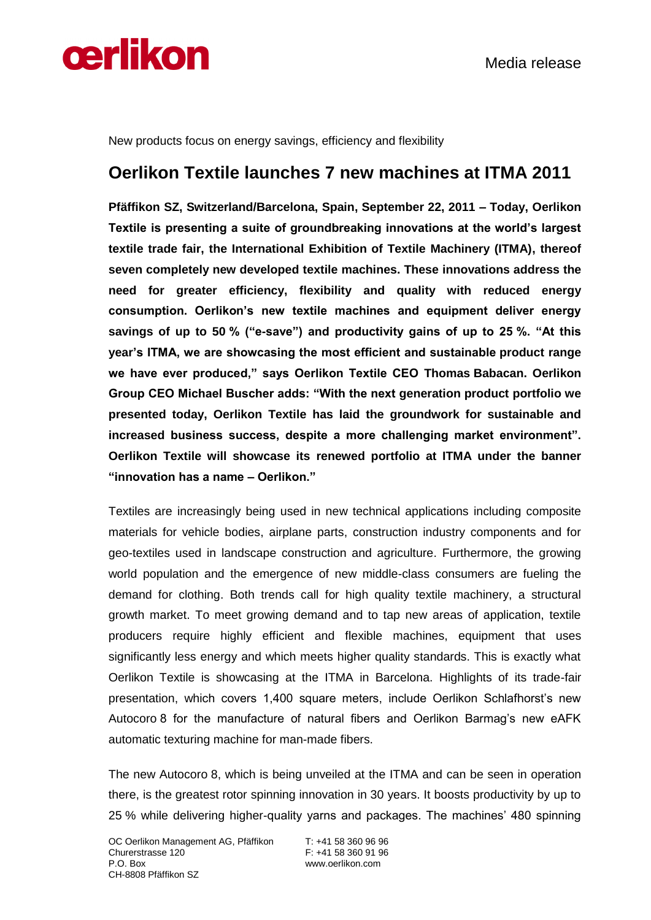

New products focus on energy savings, efficiency and flexibility

## **Oerlikon Textile launches 7 new machines at ITMA 2011**

**Pfäffikon SZ, Switzerland/Barcelona, Spain, September 22, 2011 – Today, Oerlikon Textile is presenting a suite of groundbreaking innovations at the world's largest textile trade fair, the International Exhibition of Textile Machinery (ITMA), thereof seven completely new developed textile machines. These innovations address the need for greater efficiency, flexibility and quality with reduced energy consumption. Oerlikon's new textile machines and equipment deliver energy savings of up to 50 % ("e-save") and productivity gains of up to 25 %. "At this year's ITMA, we are showcasing the most efficient and sustainable product range we have ever produced," says Oerlikon Textile CEO Thomas Babacan. Oerlikon Group CEO Michael Buscher adds: "With the next generation product portfolio we presented today, Oerlikon Textile has laid the groundwork for sustainable and increased business success, despite a more challenging market environment". Oerlikon Textile will showcase its renewed portfolio at ITMA under the banner "innovation has a name – Oerlikon."**

Textiles are increasingly being used in new technical applications including composite materials for vehicle bodies, airplane parts, construction industry components and for geo-textiles used in landscape construction and agriculture. Furthermore, the growing world population and the emergence of new middle-class consumers are fueling the demand for clothing. Both trends call for high quality textile machinery, a structural growth market. To meet growing demand and to tap new areas of application, textile producers require highly efficient and flexible machines, equipment that uses significantly less energy and which meets higher quality standards. This is exactly what Oerlikon Textile is showcasing at the ITMA in Barcelona. Highlights of its trade-fair presentation, which covers 1,400 square meters, include Oerlikon Schlafhorst's new Autocoro 8 for the manufacture of natural fibers and Oerlikon Barmag's new eAFK automatic texturing machine for man-made fibers.

The new Autocoro 8, which is being unveiled at the ITMA and can be seen in operation there, is the greatest rotor spinning innovation in 30 years. It boosts productivity by up to 25 % while delivering higher-quality yarns and packages. The machines' 480 spinning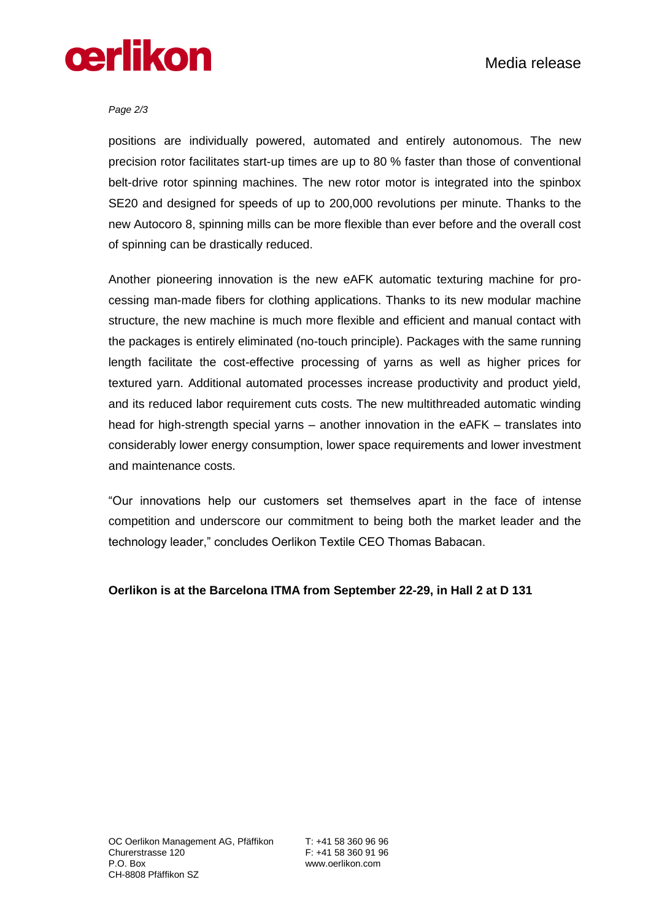

## *Page 2/3*

positions are individually powered, automated and entirely autonomous. The new precision rotor facilitates start-up times are up to 80 % faster than those of conventional belt-drive rotor spinning machines. The new rotor motor is integrated into the spinbox SE20 and designed for speeds of up to 200,000 revolutions per minute. Thanks to the new Autocoro 8, spinning mills can be more flexible than ever before and the overall cost of spinning can be drastically reduced.

Another pioneering innovation is the new eAFK automatic texturing machine for processing man-made fibers for clothing applications. Thanks to its new modular machine structure, the new machine is much more flexible and efficient and manual contact with the packages is entirely eliminated (no-touch principle). Packages with the same running length facilitate the cost-effective processing of yarns as well as higher prices for textured yarn. Additional automated processes increase productivity and product yield, and its reduced labor requirement cuts costs. The new multithreaded automatic winding head for high-strength special yarns – another innovation in the eAFK – translates into considerably lower energy consumption, lower space requirements and lower investment and maintenance costs.

"Our innovations help our customers set themselves apart in the face of intense competition and underscore our commitment to being both the market leader and the technology leader," concludes Oerlikon Textile CEO Thomas Babacan.

## **Oerlikon is at the Barcelona ITMA from September 22-29, in Hall 2 at D 131**